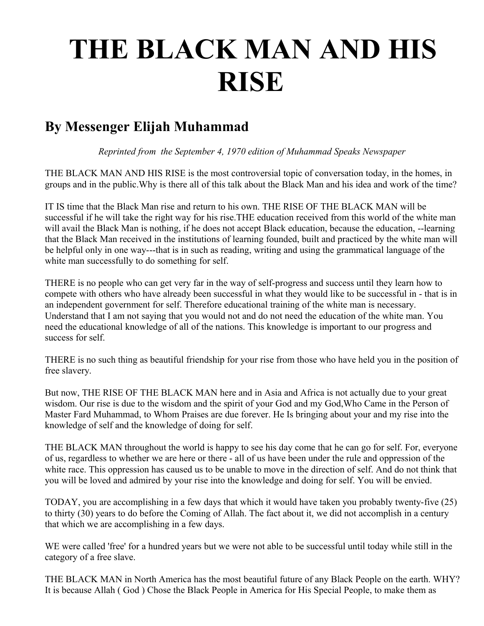## **THE BLACK MAN AND HIS RISE**

## **By Messenger Elijah Muhammad**

*Reprinted from the September 4, 1970 edition of Muhammad Speaks Newspaper*

THE BLACK MAN AND HIS RISE is the most controversial topic of conversation today, in the homes, in groups and in the public.Why is there all of this talk about the Black Man and his idea and work of the time?

IT IS time that the Black Man rise and return to his own. THE RISE OF THE BLACK MAN will be successful if he will take the right way for his rise.THE education received from this world of the white man will avail the Black Man is nothing, if he does not accept Black education, because the education, --learning that the Black Man received in the institutions of learning founded, built and practiced by the white man will be helpful only in one way---that is in such as reading, writing and using the grammatical language of the white man successfully to do something for self.

THERE is no people who can get very far in the way of self-progress and success until they learn how to compete with others who have already been successful in what they would like to be successful in - that is in an independent government for self. Therefore educational training of the white man is necessary. Understand that I am not saying that you would not and do not need the education of the white man. You need the educational knowledge of all of the nations. This knowledge is important to our progress and success for self.

THERE is no such thing as beautiful friendship for your rise from those who have held you in the position of free slavery.

But now, THE RISE OF THE BLACK MAN here and in Asia and Africa is not actually due to your great wisdom. Our rise is due to the wisdom and the spirit of your God and my God,Who Came in the Person of Master Fard Muhammad, to Whom Praises are due forever. He Is bringing about your and my rise into the knowledge of self and the knowledge of doing for self.

THE BLACK MAN throughout the world is happy to see his day come that he can go for self. For, everyone of us, regardless to whether we are here or there - all of us have been under the rule and oppression of the white race. This oppression has caused us to be unable to move in the direction of self. And do not think that you will be loved and admired by your rise into the knowledge and doing for self. You will be envied.

TODAY, you are accomplishing in a few days that which it would have taken you probably twenty-five (25) to thirty (30) years to do before the Coming of Allah. The fact about it, we did not accomplish in a century that which we are accomplishing in a few days.

WE were called 'free' for a hundred years but we were not able to be successful until today while still in the category of a free slave.

THE BLACK MAN in North America has the most beautiful future of any Black People on the earth. WHY? It is because Allah ( God ) Chose the Black People in America for His Special People, to make them as